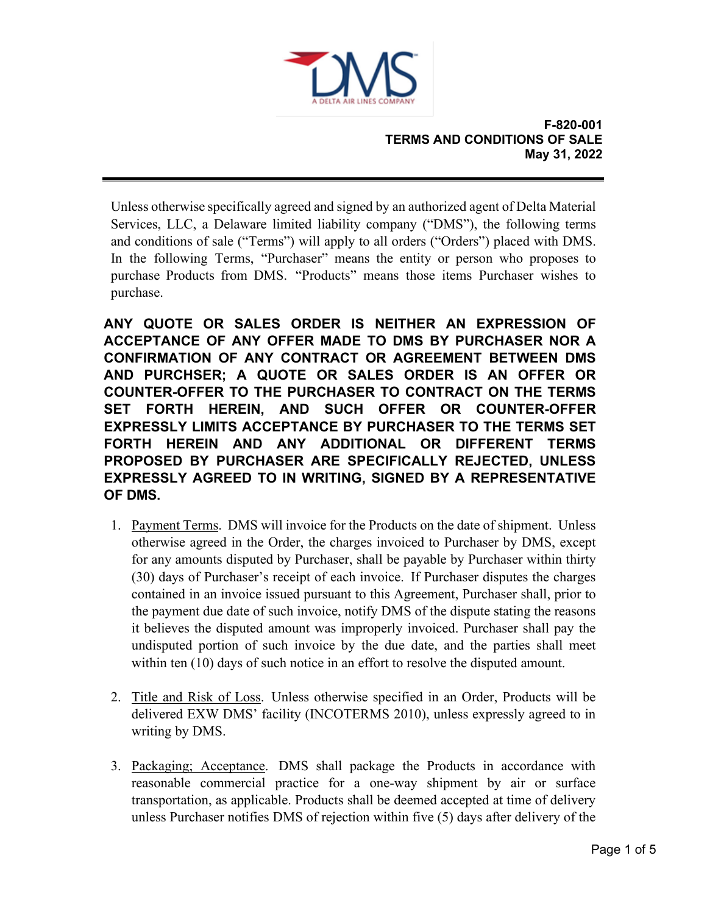

Unless otherwise specifically agreed and signed by an authorized agent of Delta Material Services, LLC, a Delaware limited liability company ("DMS"), the following terms and conditions of sale ("Terms") will apply to all orders ("Orders") placed with DMS. In the following Terms, "Purchaser" means the entity or person who proposes to purchase Products from DMS. "Products" means those items Purchaser wishes to purchase.

**ANY QUOTE OR SALES ORDER IS NEITHER AN EXPRESSION OF ACCEPTANCE OF ANY OFFER MADE TO DMS BY PURCHASER NOR A CONFIRMATION OF ANY CONTRACT OR AGREEMENT BETWEEN DMS AND PURCHSER; A QUOTE OR SALES ORDER IS AN OFFER OR COUNTER-OFFER TO THE PURCHASER TO CONTRACT ON THE TERMS SET FORTH HEREIN, AND SUCH OFFER OR COUNTER-OFFER EXPRESSLY LIMITS ACCEPTANCE BY PURCHASER TO THE TERMS SET FORTH HEREIN AND ANY ADDITIONAL OR DIFFERENT TERMS PROPOSED BY PURCHASER ARE SPECIFICALLY REJECTED, UNLESS EXPRESSLY AGREED TO IN WRITING, SIGNED BY A REPRESENTATIVE OF DMS.**

- 1. Payment Terms. DMS will invoice for the Products on the date of shipment. Unless otherwise agreed in the Order, the charges invoiced to Purchaser by DMS, except for any amounts disputed by Purchaser, shall be payable by Purchaser within thirty (30) days of Purchaser's receipt of each invoice. If Purchaser disputes the charges contained in an invoice issued pursuant to this Agreement, Purchaser shall, prior to the payment due date of such invoice, notify DMS of the dispute stating the reasons it believes the disputed amount was improperly invoiced. Purchaser shall pay the undisputed portion of such invoice by the due date, and the parties shall meet within ten (10) days of such notice in an effort to resolve the disputed amount.
- 2. Title and Risk of Loss. Unless otherwise specified in an Order, Products will be delivered EXW DMS' facility (INCOTERMS 2010), unless expressly agreed to in writing by DMS.
- 3. Packaging; Acceptance. DMS shall package the Products in accordance with reasonable commercial practice for a one-way shipment by air or surface transportation, as applicable. Products shall be deemed accepted at time of delivery unless Purchaser notifies DMS of rejection within five (5) days after delivery of the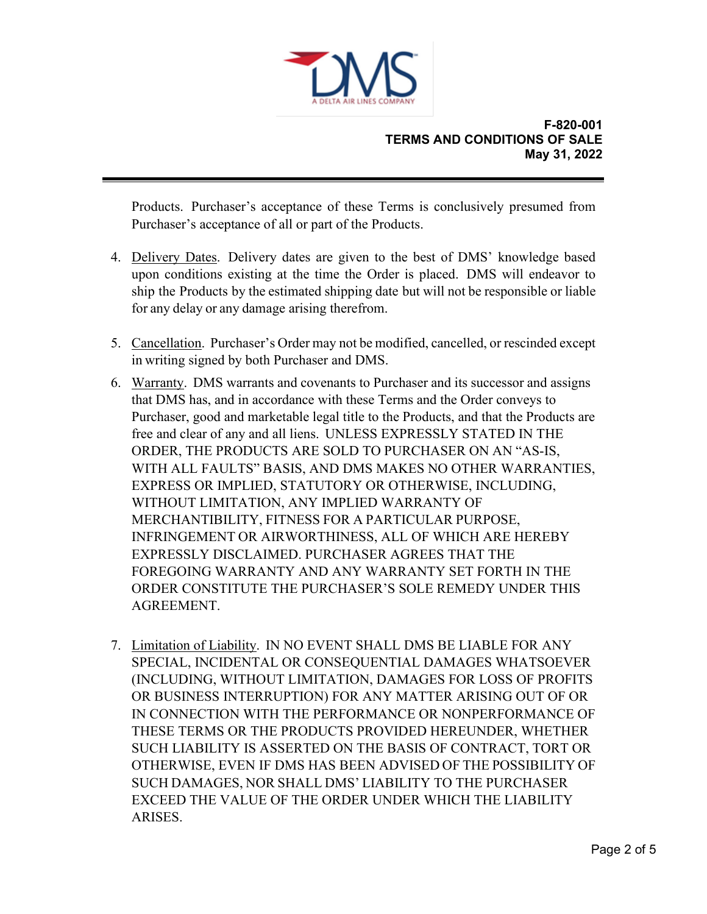

Products. Purchaser's acceptance of these Terms is conclusively presumed from Purchaser's acceptance of all or part of the Products.

- 4. Delivery Dates. Delivery dates are given to the best of DMS' knowledge based upon conditions existing at the time the Order is placed. DMS will endeavor to ship the Products by the estimated shipping date but will not be responsible or liable for any delay or any damage arising therefrom.
- 5. Cancellation. Purchaser's Order may not be modified, cancelled, or rescinded except in writing signed by both Purchaser and DMS.
- 6. Warranty. DMS warrants and covenants to Purchaser and its successor and assigns that DMS has, and in accordance with these Terms and the Order conveys to Purchaser, good and marketable legal title to the Products, and that the Products are free and clear of any and all liens. UNLESS EXPRESSLY STATED IN THE ORDER, THE PRODUCTS ARE SOLD TO PURCHASER ON AN "AS-IS, WITH ALL FAULTS" BASIS, AND DMS MAKES NO OTHER WARRANTIES, EXPRESS OR IMPLIED, STATUTORY OR OTHERWISE, INCLUDING, WITHOUT LIMITATION, ANY IMPLIED WARRANTY OF MERCHANTIBILITY, FITNESS FOR A PARTICULAR PURPOSE, INFRINGEMENT OR AIRWORTHINESS, ALL OF WHICH ARE HEREBY EXPRESSLY DISCLAIMED. PURCHASER AGREES THAT THE FOREGOING WARRANTY AND ANY WARRANTY SET FORTH IN THE ORDER CONSTITUTE THE PURCHASER'S SOLE REMEDY UNDER THIS AGREEMENT.
- 7. Limitation of Liability. IN NO EVENT SHALL DMS BE LIABLE FOR ANY SPECIAL, INCIDENTAL OR CONSEQUENTIAL DAMAGES WHATSOEVER (INCLUDING, WITHOUT LIMITATION, DAMAGES FOR LOSS OF PROFITS OR BUSINESS INTERRUPTION) FOR ANY MATTER ARISING OUT OF OR IN CONNECTION WITH THE PERFORMANCE OR NONPERFORMANCE OF THESE TERMS OR THE PRODUCTS PROVIDED HEREUNDER, WHETHER SUCH LIABILITY IS ASSERTED ON THE BASIS OF CONTRACT, TORT OR OTHERWISE, EVEN IF DMS HAS BEEN ADVISED OF THE POSSIBILITY OF SUCH DAMAGES, NOR SHALL DMS' LIABILITY TO THE PURCHASER EXCEED THE VALUE OF THE ORDER UNDER WHICH THE LIABILITY ARISES.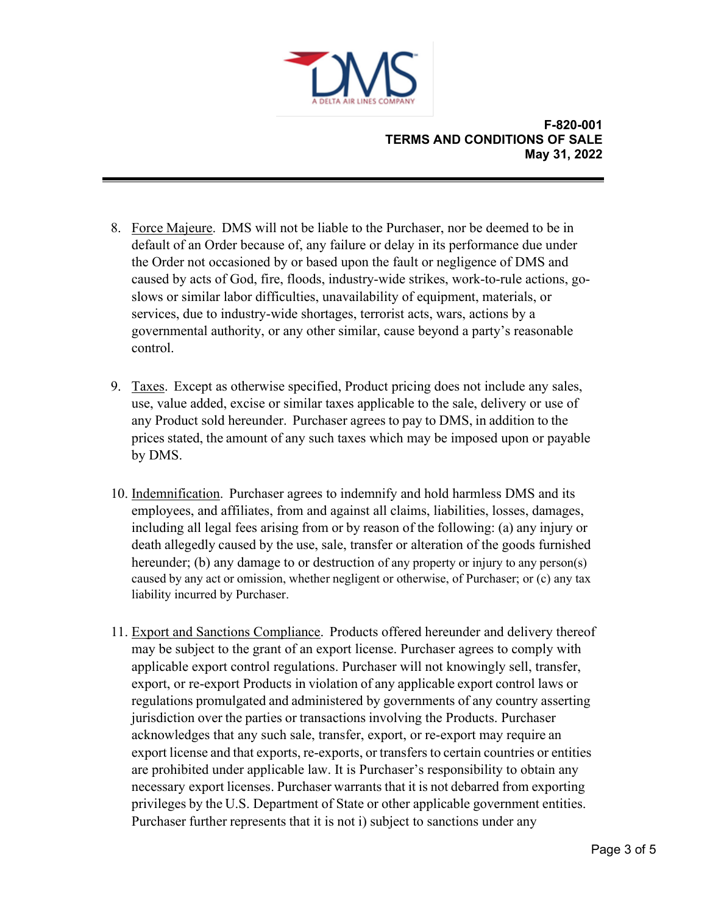

- 8. Force Majeure. DMS will not be liable to the Purchaser, nor be deemed to be in default of an Order because of, any failure or delay in its performance due under the Order not occasioned by or based upon the fault or negligence of DMS and caused by acts of God, fire, floods, industry-wide strikes, work-to-rule actions, goslows or similar labor difficulties, unavailability of equipment, materials, or services, due to industry-wide shortages, terrorist acts, wars, actions by a governmental authority, or any other similar, cause beyond a party's reasonable control.
- 9. Taxes. Except as otherwise specified, Product pricing does not include any sales, use, value added, excise or similar taxes applicable to the sale, delivery or use of any Product sold hereunder. Purchaser agrees to pay to DMS, in addition to the prices stated, the amount of any such taxes which may be imposed upon or payable by DMS.
- 10. Indemnification. Purchaser agrees to indemnify and hold harmless DMS and its employees, and affiliates, from and against all claims, liabilities, losses, damages, including all legal fees arising from or by reason of the following: (a) any injury or death allegedly caused by the use, sale, transfer or alteration of the goods furnished hereunder; (b) any damage to or destruction of any property or injury to any person(s) caused by any act or omission, whether negligent or otherwise, of Purchaser; or (c) any tax liability incurred by Purchaser.
- 11. Export and Sanctions Compliance. Products offered hereunder and delivery thereof may be subject to the grant of an export license. Purchaser agrees to comply with applicable export control regulations. Purchaser will not knowingly sell, transfer, export, or re-export Products in violation of any applicable export control laws or regulations promulgated and administered by governments of any country asserting jurisdiction over the parties or transactions involving the Products. Purchaser acknowledges that any such sale, transfer, export, or re-export may require an export license and that exports, re-exports, or transfers to certain countries or entities are prohibited under applicable law. It is Purchaser's responsibility to obtain any necessary export licenses. Purchaser warrants that it is not debarred from exporting privileges by the U.S. Department of State or other applicable government entities. Purchaser further represents that it is not i) subject to sanctions under any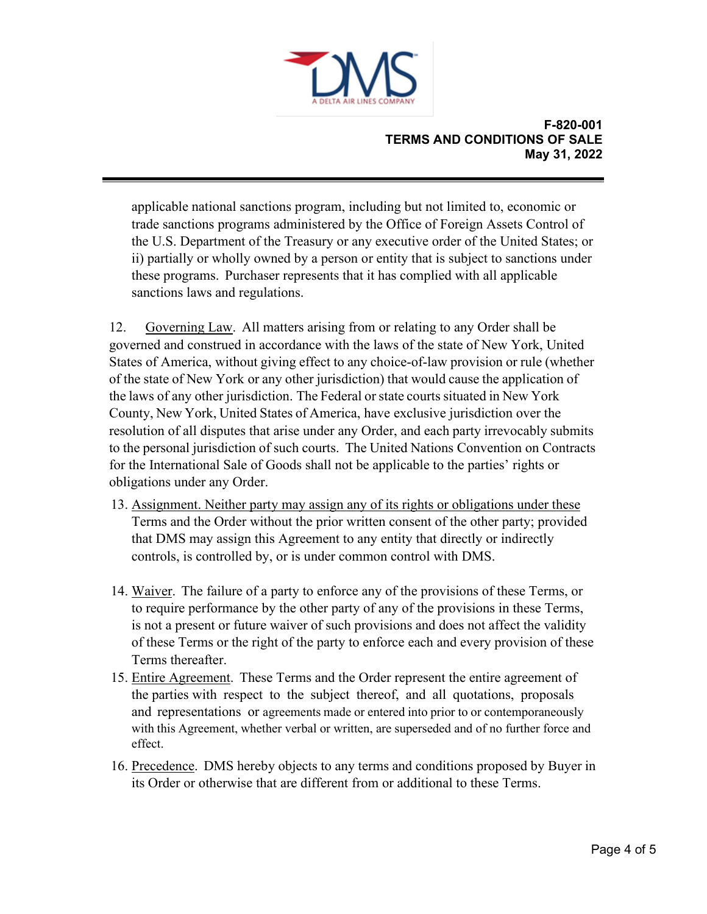

applicable national sanctions program, including but not limited to, economic or trade sanctions programs administered by the Office of Foreign Assets Control of the U.S. Department of the Treasury or any executive order of the United States; or ii) partially or wholly owned by a person or entity that is subject to sanctions under these programs. Purchaser represents that it has complied with all applicable sanctions laws and regulations.

12. Governing Law. All matters arising from or relating to any Order shall be governed and construed in accordance with the laws of the state of New York, United States of America, without giving effect to any choice-of-law provision or rule (whether of the state of New York or any other jurisdiction) that would cause the application of the laws of any other jurisdiction. The Federal or state courts situated in New York County, New York, United States of America, have exclusive jurisdiction over the resolution of all disputes that arise under any Order, and each party irrevocably submits to the personal jurisdiction of such courts. The United Nations Convention on Contracts for the International Sale of Goods shall not be applicable to the parties' rights or obligations under any Order.

- 13. Assignment. Neither party may assign any of its rights or obligations under these Terms and the Order without the prior written consent of the other party; provided that DMS may assign this Agreement to any entity that directly or indirectly controls, is controlled by, or is under common control with DMS.
- 14. Waiver. The failure of a party to enforce any of the provisions of these Terms, or to require performance by the other party of any of the provisions in these Terms, is not a present or future waiver of such provisions and does not affect the validity of these Terms or the right of the party to enforce each and every provision of these Terms thereafter.
- 15. Entire Agreement. These Terms and the Order represent the entire agreement of the parties with respect to the subject thereof, and all quotations, proposals and representations or agreements made or entered into prior to or contemporaneously with this Agreement, whether verbal or written, are superseded and of no further force and effect.
- 16. Precedence. DMS hereby objects to any terms and conditions proposed by Buyer in its Order or otherwise that are different from or additional to these Terms.